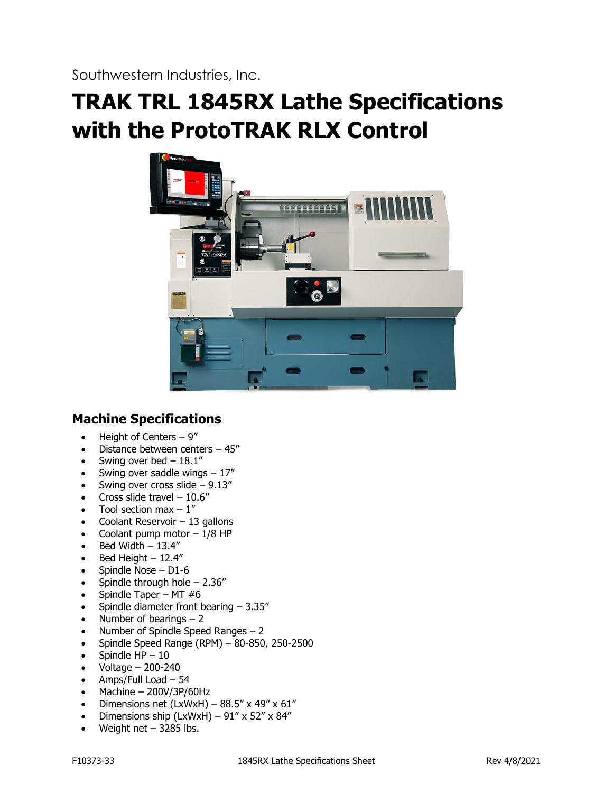Southwestern Industries, Inc.

# **TRAK TRL 1845RX Lathe Specifications with the ProtoTRAK RLX Control**



# **Machine Specifications**

- $\bullet$  Height of Centers 9"
- Distance between centers 45"
- Swing over bed  $-18.1$ "
- Swing over saddle wings  $-17$ "
- Swing over cross slide  $-9.13''$
- Cross slide travel  $-10.6$ "
- Tool section max  $-1$ "
- Coolant Reservoir 13 gallons
- Coolant pump motor  $-1/8$  HP
- Bed Width  $-13.4$ "
- Bed Height  $-12.4$ "
- Spindle Nose D1-6
- Spindle through hole  $2.36''$
- Spindle Taper MT  $#6$
- Spindle diameter front bearing  $-3.35''$
- Number of bearings  $-2$
- Number of Spindle Speed Ranges  $-2$
- Spindle Speed Range (RPM) 80-850, 250-2500
- Spindle  $HP 10$
- Voltage 200-240
- Amps/Full Load 54
- $\bullet$  Machine 200V/3P/60Hz
- Dimensions net (LxWxH)  $88.5''$  x 49" x 61"
- Dimensions ship (LxWxH)  $91''$  x  $52''$  x  $84''$
- Weight net  $-$  3285 lbs.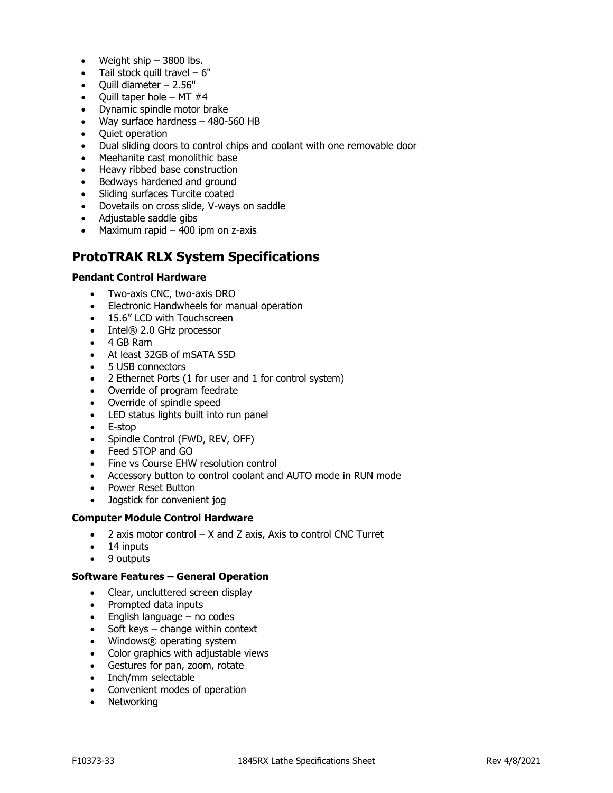- Weight ship  $-3800$  lbs.
- Tail stock quill travel  $-6"$
- Quill diameter 2.56"
- Quill taper hole MT  $#4$
- Dynamic spindle motor brake
- Way surface hardness 480-560 HB
- Quiet operation
- Dual sliding doors to control chips and coolant with one removable door
- Meehanite cast monolithic base
- Heavy ribbed base construction
- Bedways hardened and ground
- Sliding surfaces Turcite coated
- Dovetails on cross slide, V-ways on saddle
- Adjustable saddle gibs
- Maximum rapid  $-$  400 ipm on z-axis

# **ProtoTRAK RLX System Specifications**

# **Pendant Control Hardware**

- Two-axis CNC, two-axis DRO
- Electronic Handwheels for manual operation
- 15.6" LCD with Touchscreen
- Intel® 2.0 GHz processor
- 4 GB Ram
- At least 32GB of mSATA SSD
- 5 USB connectors
- 2 Ethernet Ports (1 for user and 1 for control system)
- Override of program feedrate
- Override of spindle speed
- LED status lights built into run panel
- E-stop
- Spindle Control (FWD, REV, OFF)
- Feed STOP and GO
- Fine vs Course EHW resolution control
- Accessory button to control coolant and AUTO mode in RUN mode
- Power Reset Button
- Jogstick for convenient jog

#### **Computer Module Control Hardware**

- $\bullet$  2 axis motor control  $-$  X and Z axis, Axis to control CNC Turret
- 14 inputs
- 9 outputs

#### **Software Features – General Operation**

- Clear, uncluttered screen display
- Prompted data inputs
- English language no codes
- Soft keys change within context
- Windows® operating system
- Color graphics with adjustable views
- Gestures for pan, zoom, rotate
- Inch/mm selectable
- Convenient modes of operation
- Networking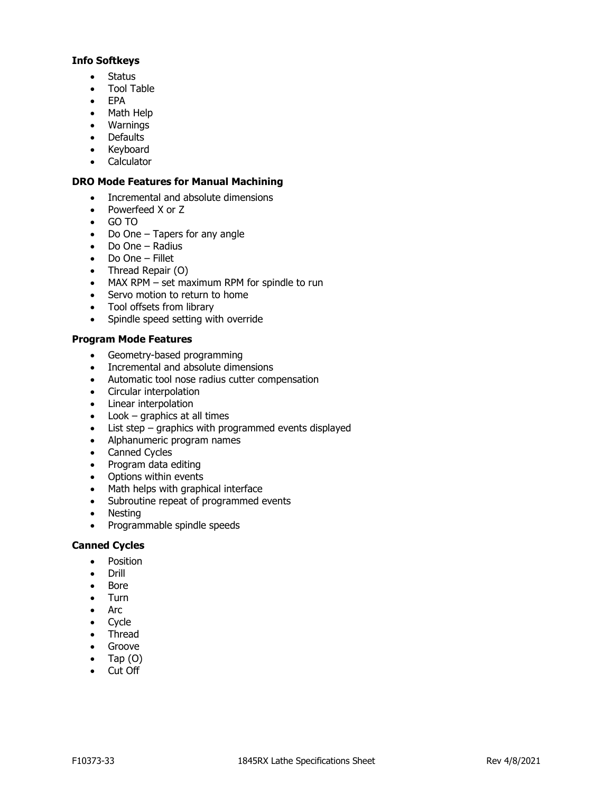# **Info Softkeys**

- Status
- Tool Table
- EPA
- Math Help
- Warnings
- Defaults
- Keyboard
- Calculator

# **DRO Mode Features for Manual Machining**

- Incremental and absolute dimensions
- Powerfeed X or Z
- GO TO
- Do One Tapers for any angle
- Do One Radius
- Do One Fillet
- Thread Repair (O)
- MAX RPM set maximum RPM for spindle to run
- Servo motion to return to home
- Tool offsets from library
- Spindle speed setting with override

# **Program Mode Features**

- Geometry-based programming
- Incremental and absolute dimensions
- Automatic tool nose radius cutter compensation
- Circular interpolation
- Linear interpolation
- Look graphics at all times
- List step graphics with programmed events displayed
- Alphanumeric program names
- Canned Cycles
- Program data editing
- Options within events
- Math helps with graphical interface
- Subroutine repeat of programmed events
- Nesting
- Programmable spindle speeds

# **Canned Cycles**

- Position
- Drill
- Bore
- Turn
- Arc
- Cycle
- Thread
- Groove
- Tap  $(O)$
- Cut Off